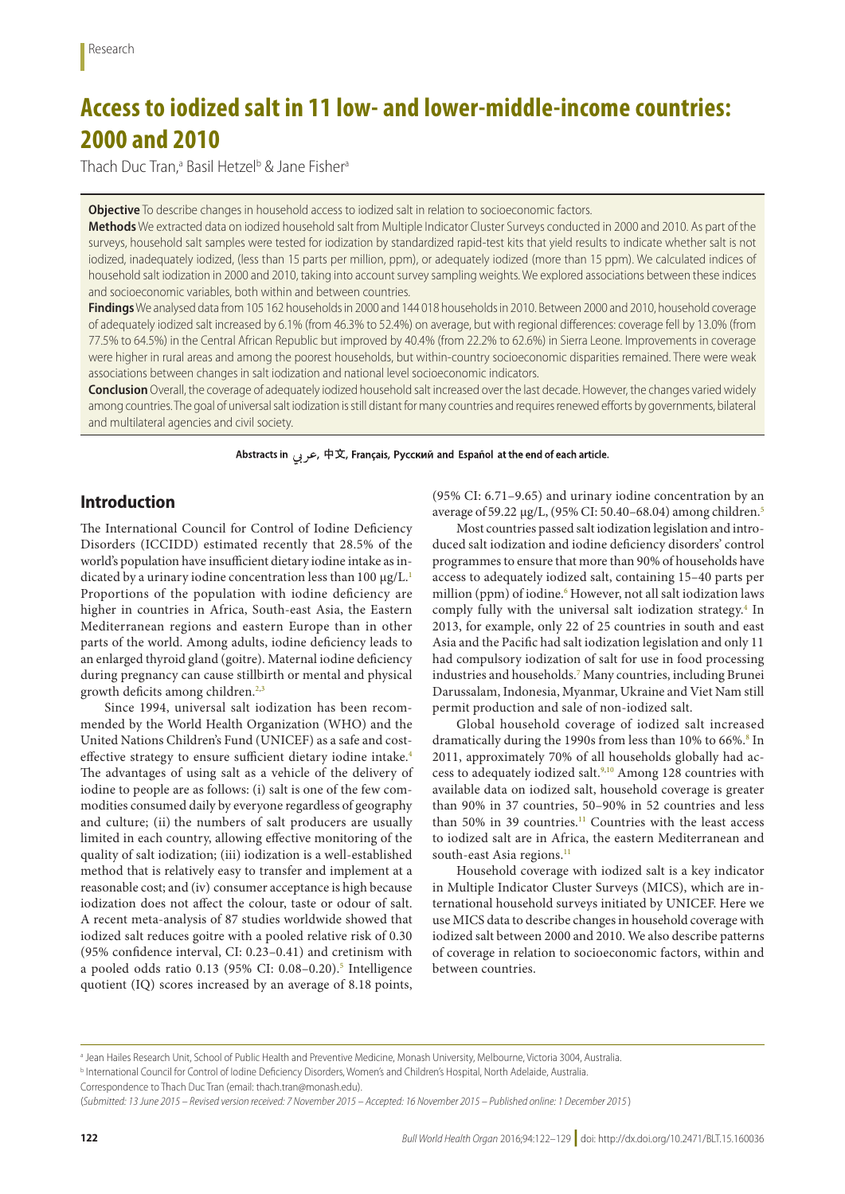# **Access to iodized salt in 11 low- and lower-middle-income countries: 2000 and 2010**

Thach Duc Tran,<sup>a</sup> Basil Hetzel<sup>b</sup> & Jane Fisher<sup>a</sup>

**Objective** To describe changes in household access to iodized salt in relation to socioeconomic factors.

**Methods** We extracted data on iodized household salt from Multiple Indicator Cluster Surveys conducted in 2000 and 2010. As part of the surveys, household salt samples were tested for iodization by standardized rapid-test kits that yield results to indicate whether salt is not iodized, inadequately iodized, (less than 15 parts per million, ppm), or adequately iodized (more than 15 ppm). We calculated indices of household salt iodization in 2000 and 2010, taking into account survey sampling weights. We explored associations between these indices and socioeconomic variables, both within and between countries.

**Findings** We analysed data from 105 162 households in 2000 and 144 018 households in 2010. Between 2000 and 2010, household coverage of adequately iodized salt increased by 6.1% (from 46.3% to 52.4%) on average, but with regional differences: coverage fell by 13.0% (from 77.5% to 64.5%) in the Central African Republic but improved by 40.4% (from 22.2% to 62.6%) in Sierra Leone. Improvements in coverage were higher in rural areas and among the poorest households, but within-country socioeconomic disparities remained. There were weak associations between changes in salt iodization and national level socioeconomic indicators.

**Conclusion** Overall, the coverage of adequately iodized household salt increased over the last decade. However, the changes varied widely among countries. The goal of universal salt iodization is still distant for many countries and requires renewed efforts by governments, bilateral and multilateral agencies and civil society.

Abstracts in جربی, 中文, Français, Русский and Español at the end of each article.

# **Introduction**

The International Council for Control of Iodine Deficiency Disorders (ICCIDD) estimated recently that 28.5% of the world's population have insufficient dietary iodine intake as in-dicated by a urinary iodine concentration less than [1](#page-7-0)00 µg/L.<sup>1</sup> Proportions of the population with iodine deficiency are higher in countries in Africa, South-east Asia, the Eastern Mediterranean regions and eastern Europe than in other parts of the world. Among adults, iodine deficiency leads to an enlarged thyroid gland (goitre). Maternal iodine deficiency during pregnancy can cause stillbirth or mental and physical growth deficits among children.<sup>[2,](#page-7-1)[3](#page-7-2)</sup>

Since 1994, universal salt iodization has been recommended by the World Health Organization (WHO) and the United Nations Children's Fund (UNICEF) as a safe and cost-effective strategy to ensure sufficient dietary iodine intake.<sup>[4](#page-7-3)</sup> The advantages of using salt as a vehicle of the delivery of iodine to people are as follows: (i) salt is one of the few commodities consumed daily by everyone regardless of geography and culture; (ii) the numbers of salt producers are usually limited in each country, allowing effective monitoring of the quality of salt iodization; (iii) iodization is a well-established method that is relatively easy to transfer and implement at a reasonable cost; and (iv) consumer acceptance is high because iodization does not affect the colour, taste or odour of salt. A recent meta-analysis of 87 studies worldwide showed that iodized salt reduces goitre with a pooled relative risk of 0.30 (95% confidence interval, CI: 0.23–0.41) and cretinism with a pooled odds ratio 0.13 (9[5](#page-7-4)% CI: 0.08–0.20).<sup>5</sup> Intelligence quotient (IQ) scores increased by an average of 8.18 points,

(95% CI: 6.71–9.65) and urinary iodine concentration by an average of 59.22 µg/L, (95% CI: 50.40–68.04) among children.[5](#page-7-4)

Most countries passed salt iodization legislation and introduced salt iodization and iodine deficiency disorders' control programmes to ensure that more than 90% of households have access to adequately iodized salt, containing 15–40 parts per million (ppm) of iodine.<sup>6</sup> However, not all salt iodization laws comply fully with the universal salt iodization strategy.<sup>4</sup> In 2013, for example, only 22 of 25 countries in south and east Asia and the Pacific had salt iodization legislation and only 11 had compulsory iodization of salt for use in food processing industries and households[.7](#page-7-6) Many countries, including Brunei Darussalam, Indonesia, Myanmar, Ukraine and Viet Nam still permit production and sale of non-iodized salt.

Global household coverage of iodized salt increased dramatically during the 1990s from less than 10% to 66%.<sup>[8](#page-7-7)</sup> In 2011, approximately 70% of all households globally had access to adequately iodized salt.<sup>9,10</sup> Among 128 countries with available data on iodized salt, household coverage is greater than 90% in 37 countries, 50–90% in 52 countries and less than 50% in 39 countries.<sup>[11](#page-7-10)</sup> Countries with the least access to iodized salt are in Africa, the eastern Mediterranean and south-east Asia regions.<sup>11</sup>

Household coverage with iodized salt is a key indicator in Multiple Indicator Cluster Surveys (MICS), which are international household surveys initiated by UNICEF. Here we use MICS data to describe changes in household coverage with iodized salt between 2000 and 2010. We also describe patterns of coverage in relation to socioeconomic factors, within and between countries.

a Jean Hailes Research Unit, School of Public Health and Preventive Medicine, Monash University, Melbourne, Victoria 3004, Australia.

**b International Council for Control of Iodine Deficiency Disorders, Women's and Children's Hospital, North Adelaide, Australia.** 

Correspondence to Thach Duc Tran (email: thach.tran@monash.edu).

<sup>(</sup>*Submitted: 13 June 2015 – Revised version received: 7 November 2015 – Accepted: 16 November 2015 – Published online: 1 December 2015* )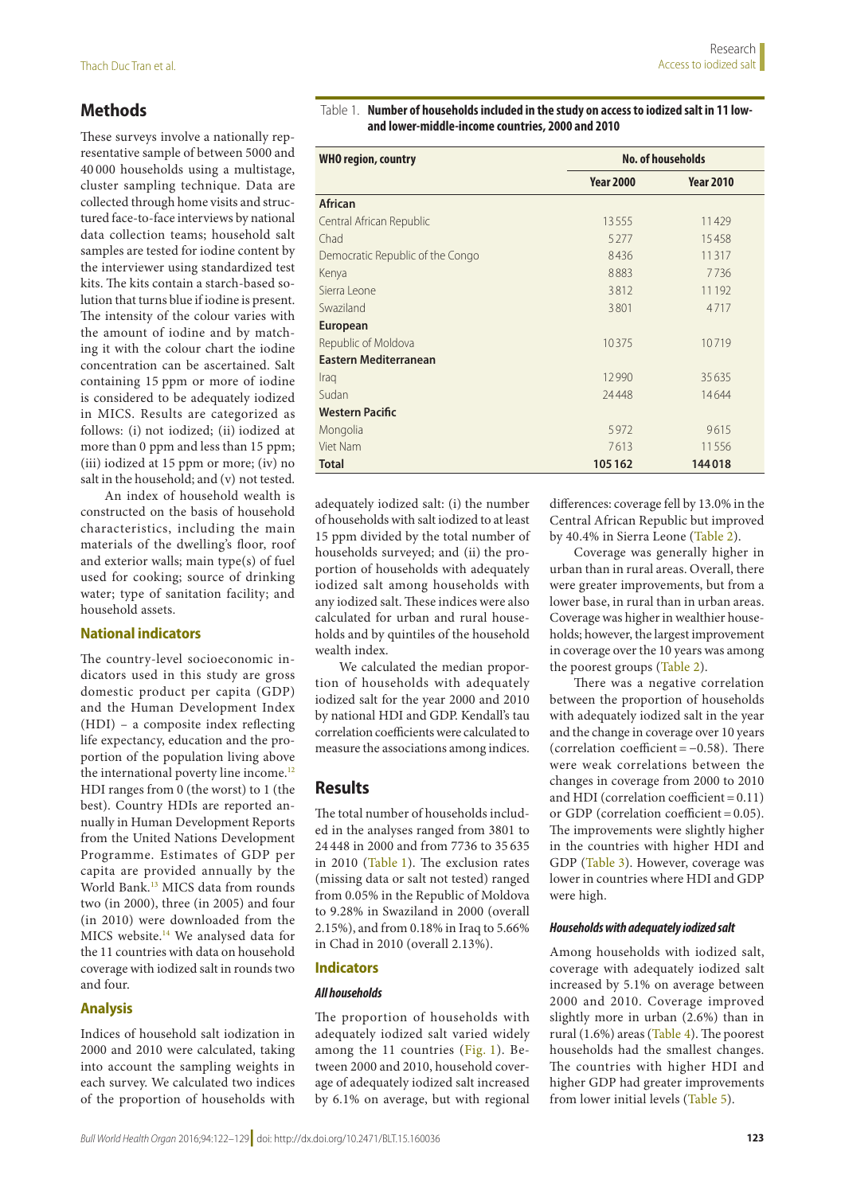# **Methods**

These surveys involve a nationally representative sample of between 5000 and 40 000 households using a multistage, cluster sampling technique. Data are collected through home visits and structured face-to-face interviews by national data collection teams; household salt samples are tested for iodine content by the interviewer using standardized test kits. The kits contain a starch-based solution that turns blue if iodine is present. The intensity of the colour varies with the amount of iodine and by matching it with the colour chart the iodine concentration can be ascertained. Salt containing 15 ppm or more of iodine is considered to be adequately iodized in MICS. Results are categorized as follows: (i) not iodized; (ii) iodized at more than 0 ppm and less than 15 ppm; (iii) iodized at 15 ppm or more; (iv) no salt in the household; and (v) not tested.

An index of household wealth is constructed on the basis of household characteristics, including the main materials of the dwelling's floor, roof and exterior walls; main type(s) of fuel used for cooking; source of drinking water; type of sanitation facility; and household assets.

## **National indicators**

The country-level socioeconomic indicators used in this study are gross domestic product per capita (GDP) and the Human Development Index (HDI) – a composite index reflecting life expectancy, education and the proportion of the population living above the international poverty line income.<sup>[12](#page-7-11)</sup> HDI ranges from 0 (the worst) to 1 (the best). Country HDIs are reported annually in Human Development Reports from the United Nations Development Programme. Estimates of GDP per capita are provided annually by the World Bank.[13](#page-7-12) MICS data from rounds two (in 2000), three (in 2005) and four (in 2010) were downloaded from the MICS website[.14](#page-7-13) We analysed data for the 11 countries with data on household coverage with iodized salt in rounds two and four.

## **Analysis**

Indices of household salt iodization in 2000 and 2010 were calculated, taking into account the sampling weights in each survey. We calculated two indices of the proportion of households with

<span id="page-1-0"></span>

| Table 1. Number of households included in the study on access to iodized salt in 11 low- |
|------------------------------------------------------------------------------------------|
| and lower-middle-income countries, 2000 and 2010                                         |

| <b>WHO region, country</b>       | <b>No. of households</b> |                  |  |  |
|----------------------------------|--------------------------|------------------|--|--|
|                                  | <b>Year 2000</b>         | <b>Year 2010</b> |  |  |
| <b>African</b>                   |                          |                  |  |  |
| Central African Republic         | 13555                    | 11429            |  |  |
| Chad                             | 5277                     | 15458            |  |  |
| Democratic Republic of the Congo | 8436                     | 11317            |  |  |
| Kenya                            | 8883                     | 7736             |  |  |
| Sierra Leone                     | 3812                     | 11 192           |  |  |
| Swaziland                        | 3801                     | 4717             |  |  |
| <b>European</b>                  |                          |                  |  |  |
| Republic of Moldova              | 10375                    | 10719            |  |  |
| <b>Eastern Mediterranean</b>     |                          |                  |  |  |
| Iraq                             | 12990                    | 35635            |  |  |
| Sudan                            | 24448                    | 14644            |  |  |
| <b>Western Pacific</b>           |                          |                  |  |  |
| Mongolia                         | 5972                     | 9615             |  |  |
| Viet Nam                         | 7613                     | 11556            |  |  |
| <b>Total</b>                     | 105162                   | 144018           |  |  |

adequately iodized salt: (i) the number of households with salt iodized to at least 15 ppm divided by the total number of households surveyed; and (ii) the proportion of households with adequately iodized salt among households with any iodized salt. These indices were also calculated for urban and rural households and by quintiles of the household wealth index.

We calculated the median proportion of households with adequately iodized salt for the year 2000 and 2010 by national HDI and GDP. Kendall's tau correlation coefficients were calculated to measure the associations among indices.

# **Results**

The total number of households included in the analyses ranged from 3801 to 24 448 in 2000 and from 7736 to 35 635 in 2010 [\(Table](#page-1-0) 1). The exclusion rates (missing data or salt not tested) ranged from 0.05% in the Republic of Moldova to 9.28% in Swaziland in 2000 (overall 2.15%), and from 0.18% in Iraq to 5.66% in Chad in 2010 (overall 2.13%).

# **Indicators**

## *All households*

The proportion of households with adequately iodized salt varied widely among the 11 countries [\(Fig.](#page-2-0) 1). Between 2000 and 2010, household coverage of adequately iodized salt increased by 6.1% on average, but with regional

differences: coverage fell by 13.0% in the Central African Republic but improved by 40.4% in Sierra Leone [\(Table](#page-3-0) 2).

Coverage was generally higher in urban than in rural areas. Overall, there were greater improvements, but from a lower base, in rural than in urban areas. Coverage was higher in wealthier households; however, the largest improvement in coverage over the 10 years was among the poorest groups ([Table](#page-3-0) 2).

There was a negative correlation between the proportion of households with adequately iodized salt in the year and the change in coverage over 10 years (correlation coefficient = −0.58). There were weak correlations between the changes in coverage from 2000 to 2010 and HDI (correlation coefficient =  $0.11$ ) or GDP (correlation coefficient = 0.05). The improvements were slightly higher in the countries with higher HDI and GDP ([Table](#page-2-1) 3). However, coverage was lower in countries where HDI and GDP were high.

#### *Households with adequately iodized salt*

Among households with iodized salt, coverage with adequately iodized salt increased by 5.1% on average between 2000 and 2010. Coverage improved slightly more in urban (2.6%) than in rural (1.6%) areas [\(Table](#page-3-1) 4). The poorest households had the smallest changes. The countries with higher HDI and higher GDP had greater improvements from lower initial levels ([Table](#page-4-0) 5).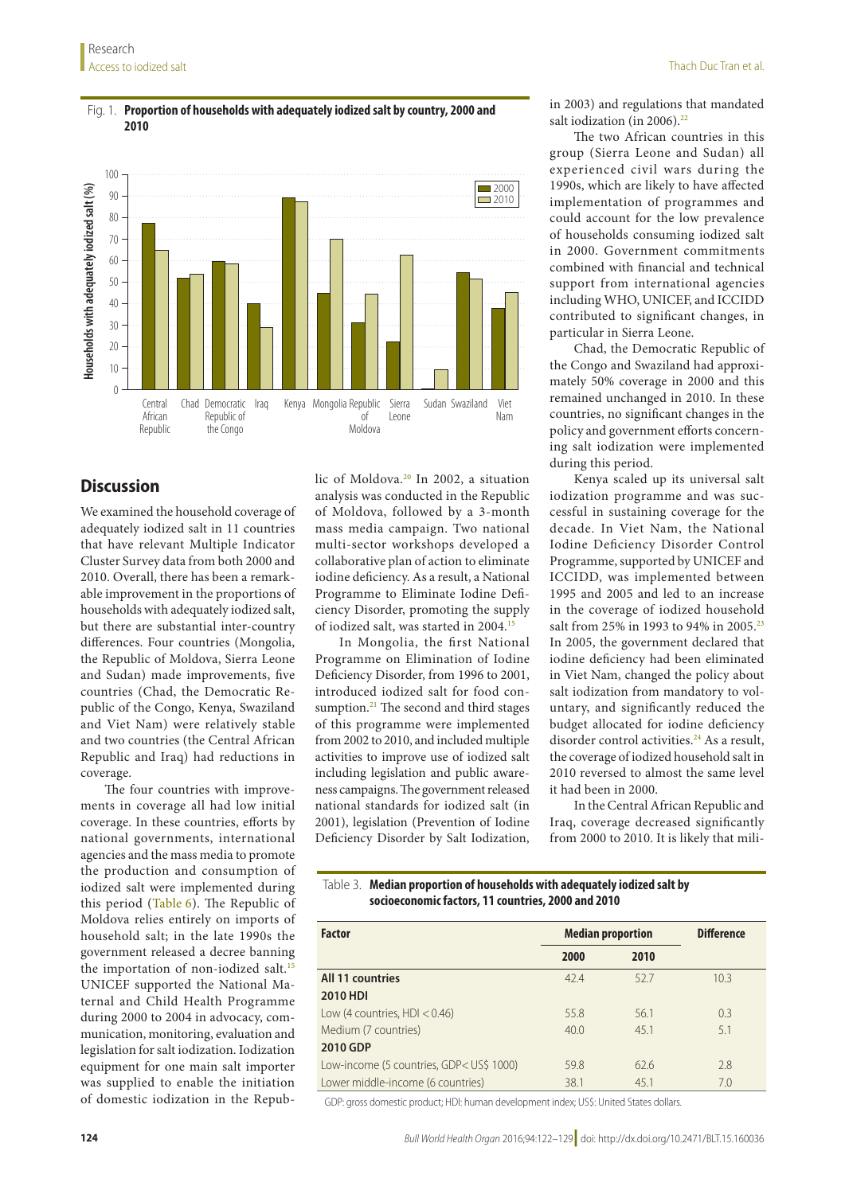#### <span id="page-2-0"></span>Fig. 1. **Proportion of households with adequately iodized salt by country, 2000 and 2010**



# **Discussion**

We examined the household coverage of adequately iodized salt in 11 countries that have relevant Multiple Indicator Cluster Survey data from both 2000 and 2010. Overall, there has been a remarkable improvement in the proportions of households with adequately iodized salt, but there are substantial inter-country differences. Four countries (Mongolia, the Republic of Moldova, Sierra Leone and Sudan) made improvements, five countries (Chad, the Democratic Republic of the Congo, Kenya, Swaziland and Viet Nam) were relatively stable and two countries (the Central African Republic and Iraq) had reductions in coverage.

The four countries with improvements in coverage all had low initial coverage. In these countries, efforts by national governments, international agencies and the mass media to promote the production and consumption of iodized salt were implemented during this period [\(Table](#page-4-1) 6). The Republic of Moldova relies entirely on imports of household salt; in the late 1990s the government released a decree banning the importation of non-iodized salt.<sup>15</sup> UNICEF supported the National Maternal and Child Health Programme during 2000 to 2004 in advocacy, communication, monitoring, evaluation and legislation for salt iodization. Iodization equipment for one main salt importer was supplied to enable the initiation of domestic iodization in the Republic of Moldova.<sup>20</sup> In 2002, a situation analysis was conducted in the Republic of Moldova, followed by a 3-month mass media campaign. Two national multi-sector workshops developed a collaborative plan of action to eliminate iodine deficiency. As a result, a National Programme to Eliminate Iodine Deficiency Disorder, promoting the supply of iodized salt, was started in 2004.[15](#page-7-14)

In Mongolia, the first National Programme on Elimination of Iodine Deficiency Disorder, from 1996 to 2001, introduced iodized salt for food consumption.<sup>21</sup> The second and third stages of this programme were implemented from 2002 to 2010, and included multiple activities to improve use of iodized salt including legislation and public awareness campaigns. The government released national standards for iodized salt (in 2001), legislation (Prevention of Iodine Deficiency Disorder by Salt Iodization,

in 2003) and regulations that mandated salt iodization (in 2006).<sup>22</sup>

The two African countries in this group (Sierra Leone and Sudan) all experienced civil wars during the 1990s, which are likely to have affected implementation of programmes and could account for the low prevalence of households consuming iodized salt in 2000. Government commitments combined with financial and technical support from international agencies including WHO, UNICEF, and ICCIDD contributed to significant changes, in particular in Sierra Leone.

Chad, the Democratic Republic of the Congo and Swaziland had approximately 50% coverage in 2000 and this remained unchanged in 2010. In these countries, no significant changes in the policy and government efforts concerning salt iodization were implemented during this period.

Kenya scaled up its universal salt iodization programme and was successful in sustaining coverage for the decade. In Viet Nam, the National Iodine Deficiency Disorder Control Programme, supported by UNICEF and ICCIDD, was implemented between 1995 and 2005 and led to an increase in the coverage of iodized household salt from 25% in 1993 to 94% in 2005.<sup>23</sup> In 2005, the government declared that iodine deficiency had been eliminated in Viet Nam, changed the policy about salt iodization from mandatory to voluntary, and significantly reduced the budget allocated for iodine deficiency disorder control activities.<sup>[24](#page-7-19)</sup> As a result, the coverage of iodized household salt in 2010 reversed to almost the same level it had been in 2000.

In the Central African Republic and Iraq, coverage decreased significantly from 2000 to 2010. It is likely that mili-

#### <span id="page-2-1"></span>Table 3. **Median proportion of households with adequately iodized salt by socioeconomic factors, 11 countries, 2000 and 2010**

| <b>Factor</b>                                                                                   | <b>Median proportion</b> |      | <b>Difference</b> |
|-------------------------------------------------------------------------------------------------|--------------------------|------|-------------------|
|                                                                                                 | 2000                     | 2010 |                   |
| <b>All 11 countries</b>                                                                         | 42.4                     | 527  | 10.3              |
| <b>2010 HDI</b>                                                                                 |                          |      |                   |
| Low (4 countries, $HD < 0.46$ )                                                                 | 55.8                     | 56.1 | 0.3               |
| Medium (7 countries)                                                                            | 40.0                     | 45.1 | 5.1               |
| 2010 GDP                                                                                        |                          |      |                   |
| Low-income (5 countries, GDP <us\$ 1000)<="" td=""><td>598</td><td>62.6</td><td>2.8</td></us\$> | 598                      | 62.6 | 2.8               |
| Lower middle-income (6 countries)                                                               | 38.1                     | 45.1 | 7.0               |

GDP: gross domestic product; HDI: human development index; US\$: United States dollars.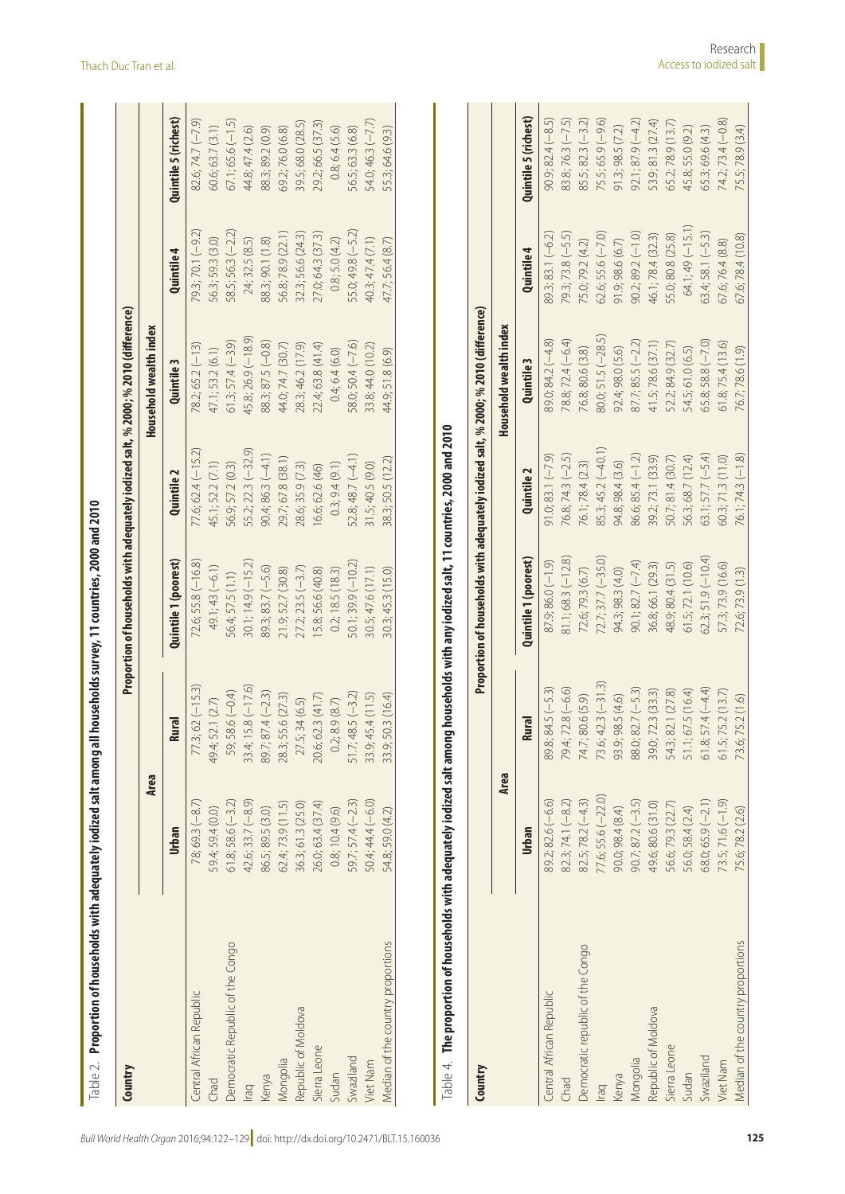| Country                           |                     |                         | Proportion of households with adequately iodized salt, % 2000; % 2010 (difference) |                       |                        |                     |                        |
|-----------------------------------|---------------------|-------------------------|------------------------------------------------------------------------------------|-----------------------|------------------------|---------------------|------------------------|
|                                   | Area                |                         |                                                                                    |                       | Household wealth index |                     |                        |
|                                   | Urban               | <b>Rural</b>            | Quintile 1 (poorest)                                                               | Quintile <sub>2</sub> | Quintile <sub>3</sub>  | Quintile 4          | Quintile 5 (richest)   |
| Central African Republic          | $78;69.3(-8.7)$     | $77.3; 62 (-15.3)$      | $72.6;$ 55.8 ( $-16.8$ )                                                           | $77.6$ ; 62.4 (-15.2) | $78.2; 65.2(-13)$      | 79.3; 70.1 (-9.2)   | $82.6$ ; 74.7 $(-7.9)$ |
| Chad                              | 59.4; 59.4 (0.0)    | 49.4; 52.1 (2.7)        | $49.1;43(-6.1)$                                                                    | 45.1; 52.2 (7.1)      | 47.1; 53.2 (6.1)       | 56.3; 59.3 (3.0)    | 60.6; 63.7 (3.1)       |
| Democratic Republic of the Congo  | $61.8; 58.6(-3.2)$  | 59; 58.6 (-0.4)         | 56.4; 57.5 (1.1)                                                                   | 56.9; 57.2 (0.3)      | $61.3; 57.4 (-3.9)$    | 58.5; 56.3 (-2.2)   | $67.1; 65.6 (-1.5)$    |
| Iraq                              | $42.6; 33.7(-8.9)$  | $33.4; 15.8 (-17.6)$    | $30.1; 14.9 (-15.2)$                                                               | 55.2; 22.3 (-32.9)    | $45.8; 26.9(-18.9)$    | 24; 32.5 (8.5)      | 44.8; 47.4 (2.6)       |
| Kenya                             | 86.5; 89.5 (3.0)    | $89.7; 87.4 (-2.3)$     | $89.3; 83.7 (-5.6)$                                                                | $90.4; 86.3(-4.1)$    | $88.3; 87.5 (-0.8)$    | 88.3; 90.1 (1.8)    | 88.3; 89.2 (0.9)       |
| Mongolia                          | 62.4; 73.9(11.5)    | 28.3; 55.6 (27.3)       | 21.9; 52.7 (30.8)                                                                  | 29.7; 67.8 (38.1)     | 44.0; 74.7 (30.7)      | 56.8; 78.9 (22.1)   | 69.2; 76.0 (6.8)       |
| Republic of Moldova               | 36.3; 61.3 (25.0)   | 27.5; 34 (6.5)          | $27.2; 23.5 (-3.7)$                                                                | 28.6; 35.9 (7.3)      | 28.3; 46.2 (17.9)      | 32.3; 56.6 (24.3)   | 39.5; 68.0 (28.5)      |
| Sierra Leone                      | 26.0; 63.4 (37.4)   | 20.6; 62.3 (41.7)       | 15.8; 56.6 (40.8)                                                                  | 16.6; 62.6 (46)       | 22.4; 63.8 (41.4)      | 27.0; 64.3 (37.3)   | 29.2; 66.5 (37.3)      |
| Sudan                             | 0.8; 10.4(9.6)      | 0.2; 8.9(8.7)           | 0.2; 18.5 (18.3)                                                                   | 0.3; 9.4(9.1)         | 0.4; 6.4(6.0)          | 0.8; 5.0(4.2)       | 0.8; 6.4(5.6)          |
| Swaziland                         | 59.7; 57.4 (-2.3)   | $51.7;48.5(-3.2)$       | $50.1; 39.9 (-10.2)$                                                               | $52.8;48.7(-4.1)$     | $58.0; 50.4(-7.6)$     | $55.0; 49.8 (-5.2)$ | 56.5; 63.3 (6.8)       |
| Viet Nam                          | $50.4; 44.4(-6.0)$  | 33.9; 45.4(11.5)        | 30.5;47.6 (17.1)                                                                   | 31.5; 40.5 (9.0)      | 33.8; 44.0 (10.2)      | 40.3; 47.4 (7.1)    | 54.0; 46.3 (-7.7)      |
| Median of the country proportions | 54.8; 59.0 (4.2)    | 33.9; 50.3 (16.4)       | 30.3; 45.3 (15.0)                                                                  | 38.3; 50.5 (12.2)     | 44.9; 51.8 (6.9)       | 47.7; 56.4 (8.7)    | 55.3; 64.6 (9.3)       |
| Country                           |                     |                         | Proportion of households with adequately iodized salt, % 2000; % 2010 (difference) |                       |                        |                     |                        |
|                                   | Area                |                         |                                                                                    |                       | Household wealth index |                     |                        |
|                                   | Urban               | <b>Rural</b>            | Quintile 1 (poorest)                                                               | Quintile <sub>2</sub> | Quintile 3             | Quintile 4          | Quintile 5 (richest)   |
| <b>Central African Republic</b>   | 89.2; 82.6 (-6.6)   | $89.8; 84.5(-5.3)$      | $87.9;86.0(-1.9)$                                                                  | $91.0; 83.1 (-7.9)$   | $89.0; 84.2(-4.8)$     | $89.3; 83.1 (-6.2)$ | $90.9; 82.4 (-8.5)$    |
| Chad                              | $82.3; 74.1(-8.2)$  | $79.4; 72.8 (-6.6)$     | $81.1; 68.3 (-12.8)$                                                               | $76.8; 74.3 (-2.5)$   | 78.8; 72.4 (-6.4)      | $79.3; 73.8 (-5.5)$ | $83.8;76.3(-7.5)$      |
| Democratic republic of the Congo  | $82.5; 78.2(-4.3)$  | 74.7; 80.6 (5.9)        | 72.6; 79.3 (6.7)                                                                   | 76.1; 78.4 (2.3)      | 76.8; 80.6 (3.8)       | 75.0; 79.2 (4.2)    | $85.5; 82.3 (-3.2)$    |
| lraq                              | 77.6; 55.6 (-22.0)  | $73.6$ ; 42.3 $(-31.3)$ | $72.7; 37.7 (-35.0)$                                                               | 85.3; 45.2 (-40.1)    | $80.0; 51.5 (-28.5)$   | $62.6; 55.6 (-7.0)$ | $75.5;65.9(-9.6)$      |
| Kenya                             | 90.0; 98.4 (8.4)    | 93.9; 98.5 (4.6)        | 94.3; 98.3 (4.0)                                                                   | 94.8; 98.4 (3.6)      | 92.4; 98.0 (5.6)       | 91.9; 98.6 (6.7)    | 91.3; 98.5 (7.2)       |
| Mongolia                          | $90.7; 87.2 (-3.5)$ | 88.0; 82.7 (-5.3)       | $90.1; 82.7 (-7.4)$                                                                | $86.6; 85.4 (-1.2)$   | $87.7; 85.5 (-2.2)$    | $90.2; 89.2 (-1.0)$ | $92.1; 87.9 (-4.2)$    |
| Republic of Moldova               | 49.6; 80.6 (31.0)   | 39.0; 72.3 (33.3)       | 36.8; 66.1 (29.3)                                                                  | 39.2; 73.1 (33.9)     | 41.5;78.6 (37.1)       | 46.1; 78.4 (32.3)   | 53.9; 81.3 (27.4)      |
| Sierra Leone                      | 56.6; 79.3 (22.7)   | 54.3; 82.1 (27.8)       | 48.9; 80.4 (31.5)                                                                  | 50.7; 81.4 (30.7)     | 52.2; 84.9 (32.7)      | 55.0; 80.8 (25.8)   | 65.2; 78.9 (13.7)      |
| Sudan                             | 56.0; 58.4 (2.4)    | 51.1; 67.5 (16.4)       | 61.5; 72.1(10.6)                                                                   | 56.3; 68.7 (12.4)     | 54.5; 61.0 (6.5)       | $64.1;49(-15.1)$    | 45.8; 55.0 (9.2)       |
| Swaziland                         | $68.0; 65.9 (-2.1)$ | $61.8; 57.4 (-4.4)$     | $62.3; 51.9 (-10.4)$                                                               | 63.1; $57.7 (-5.4)$   | $65.8;58.8(-7.0)$      | $63.4;58.1(-5.3)$   | 65.3; 69.6 (4.3)       |
| Viet Nam                          | $73.5; 71.6 (-1.9)$ | 61.5; 75.2 (13.7)       | 57.3; 73.9 (16.6)                                                                  | 60.3; 71.3 (11.0)     | 61.8; 75.4(13.6)       | 67.6;76.4 (8.8)     | $74.2; 73.4 (-0.8)$    |
| Median of the country proportions | 75.6; 78.2 (2.6)    | 73.6; 75.2 (1.6)        | 72.6; 73.9 (1.3)                                                                   | $76.1; 74.3 (-1.8)$   | 76.7; 78.6 (1.9)       | 67.6; 78.4 (10.8)   | 75.5; 78.9 (3.4)       |

<span id="page-3-1"></span><span id="page-3-0"></span>

| i                    |
|----------------------|
|                      |
|                      |
|                      |
|                      |
|                      |
|                      |
|                      |
| l                    |
|                      |
|                      |
|                      |
| with                 |
|                      |
|                      |
|                      |
|                      |
|                      |
|                      |
|                      |
|                      |
|                      |
|                      |
|                      |
|                      |
|                      |
|                      |
|                      |
|                      |
|                      |
|                      |
|                      |
|                      |
|                      |
|                      |
|                      |
|                      |
| $\ddot{\cdot}$       |
|                      |
| $\ddot{\phantom{0}}$ |
|                      |
|                      |
|                      |
|                      |
|                      |
|                      |
|                      |
|                      |
|                      |
|                      |
|                      |
| i                    |
|                      |
|                      |
|                      |
|                      |
| $\frac{1}{2}$<br>i   |
|                      |
| 4<br>1<br>I<br>J     |

| Country                           |                     |                      | Proportion of households with adequately iodized salt, % 2000; % 2010 (difference) |                      |                        |                     |                      |
|-----------------------------------|---------------------|----------------------|------------------------------------------------------------------------------------|----------------------|------------------------|---------------------|----------------------|
|                                   | Area                |                      |                                                                                    |                      | Household wealth index |                     |                      |
|                                   | <b>Urban</b>        | lral<br>ē            | Quintile 1 (poorest)                                                               | Quintile 2           | Quintile 3             | Quintile 4          | Quintile 5 (richest) |
| Central African Republic          | $89.2; 82.6(-6.6)$  | $89.8; 84.5(-5.3)$   | $87.9; 86.0 (-1.9)$                                                                | $91.0; 83.1 (-7.9)$  | $89.0; 84.2(-4.8)$     | $89.3; 83.1 (-6.2)$ | $90.9; 82.4 (-8.5)$  |
| Chad                              | $82.3; 74.1 (-8.2)$ | 79.4; 72.8 (-6.6)    | $81.1; 68.3 (-12.8)$                                                               | 76.8; 74.3 (-2.5)    | 78.8; 72.4 (-6.4)      | 79.3; 73.8 (-5.5)   | $83.8; 76.3 (-7.5)$  |
| Democratic republic of the Congo  | $82.5; 78.2(-4.3)$  | 74.7; 80.6 (5.9)     | 72.6; 79.3 (6.7)                                                                   | 76.1; 78.4 (2.3)     | 76.8; 80.6 (3.8)       | 75.0; 79.2 (4.2)    | $85.5; 82.3 (-3.2)$  |
| lraq                              | 77.6; 55.6 (-22.0)  | $73.6; 42.3 (-31.3)$ | $72.7; 37.7 (-35.0)$                                                               | $85.3; 45.2 (-40.1)$ | $80.0; 51.5 (-28.5)$   | $62.6;55.6(-7.0)$   | 75.5; 65.9 (-9.6)    |
| Kenya                             | 90.0; 98.4 (8.4)    | 93.9; 98.5 (4.6)     | 94.3; 98.3 (4.0)                                                                   | 94.8; 98.4 (3.6)     | 92.4; 98.0 (5.6)       | 91.9; 98.6(6.7)     | 91.3; 98.5(7.2)      |
| Mongolia                          | $90.7; 87.2 (-3.5)$ | 88.0; 82.7 (-5.3)    | $90.1; 82.7 (-7.4)$                                                                | $86.6; 85.4 (-1.2)$  | $87.7; 85.5 (-2.2)$    | $90.2; 89.2 (-1.0)$ | $92.1; 87.9(-4.2)$   |
| Republic of Moldova               | 49.6; 80.6 (31.0)   | 39.0; 72.3 (33.3)    | 36.8; 66.1 (29.3)                                                                  | 39.2; 73.1 (33.9)    | 41.5;78.6 (37.1)       | 46.1;78.4 (32.3)    | 53.9; 81.3 (27.4)    |
| Sierra Leone                      | 56.6; 79.3 (22.7)   | 54.3; 82.1 (27.8)    | 48.9; 80.4 (31.5)                                                                  | 50.7; 81.4 (30.7)    | 52.2; 84.9 (32.7)      | 55.0; 80.8 (25.8)   | 65.2; 78.9 (13.7)    |
| Sudan                             | 56.0; 58.4 (2.4)    | 51.1; 67.5 (16.4)    | 61.5;72.1 (10.6)                                                                   | 56.3; 68.7 (12.4)    | 54.5; 61.0 (6.5)       | $64.1;49$ $(-15.1)$ | 45.8; 55.0 (9.2)     |
| Swaziland                         | $68.0; 65.9 (-2.1)$ | $61.8;57.4(-4.4)$    | $62.3; 51.9(-10.4)$                                                                | 63.1; 57.7 $(-5.4)$  | $65.8; 58.8 (-7.0)$    | $63.4;58.1(-5.3)$   | 65.3; 69.6 (4.3)     |
| /iet Nam                          | $73.5; 71.6 (-1.9)$ | 61.5;75.2(13.7)      | 57.3; 73.9 (16.6)                                                                  | 60.3; 71.3 (11.0)    | 61.8; 75.4(13.6)       | 67.6;76.4 (8.8)     | $74.2; 73.4 (-0.8)$  |
| Median of the country proportions | 75.6; 78.2 (2.6)    | 73.6; 75.2 (1.6)     | 72.6; 73.9 (1.3)                                                                   | $76.1; 74.3 (-1.8)$  | 76.7;78.6 (1.9)        | 67.6;78.4 (10.8)    | 75.5;78.9 (3.4)      |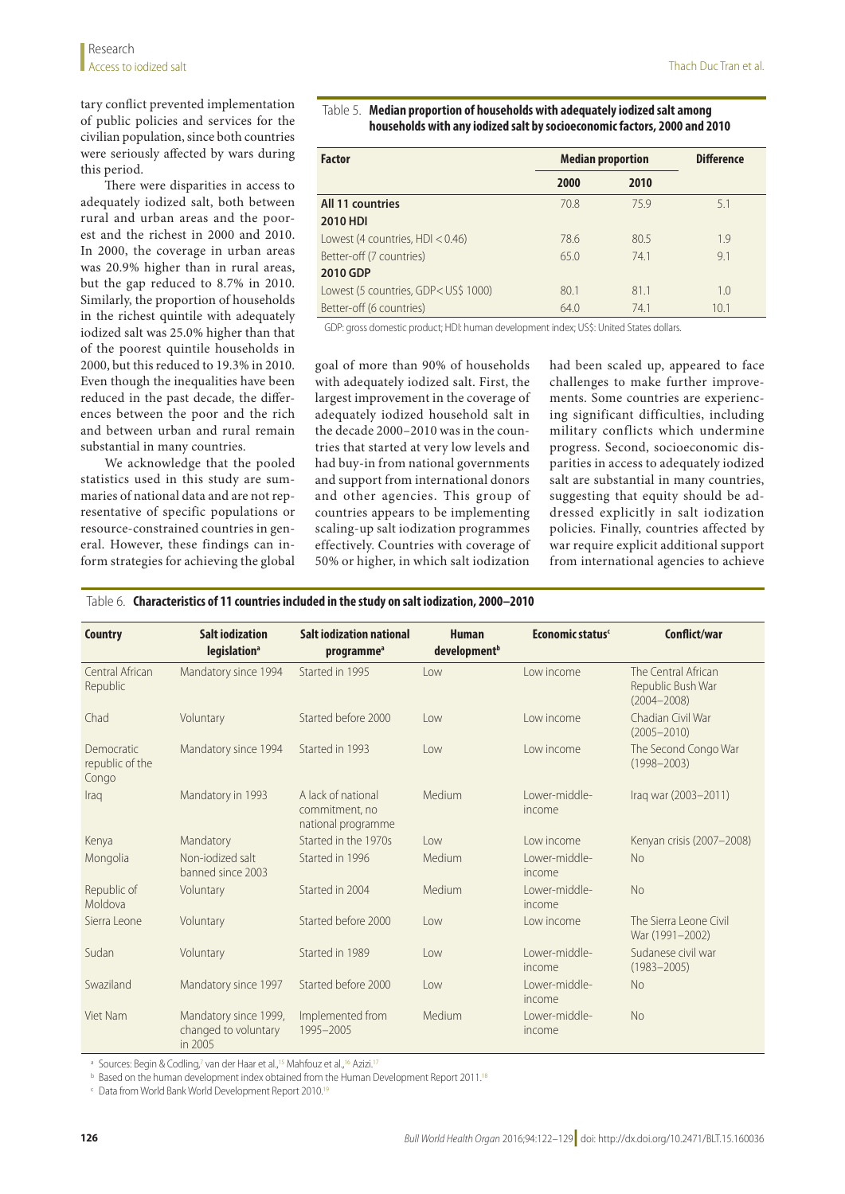tary conflict prevented implementation of public policies and services for the civilian population, since both countries were seriously affected by wars during this period.

There were disparities in access to adequately iodized salt, both between rural and urban areas and the poorest and the richest in 2000 and 2010. In 2000, the coverage in urban areas was 20.9% higher than in rural areas, but the gap reduced to 8.7% in 2010. Similarly, the proportion of households in the richest quintile with adequately iodized salt was 25.0% higher than that of the poorest quintile households in 2000, but this reduced to 19.3% in 2010. Even though the inequalities have been reduced in the past decade, the differences between the poor and the rich and between urban and rural remain substantial in many countries.

We acknowledge that the pooled statistics used in this study are summaries of national data and are not representative of specific populations or resource-constrained countries in general. However, these findings can inform strategies for achieving the global

## <span id="page-4-0"></span>Table 5. **Median proportion of households with adequately iodized salt among households with any iodized salt by socioeconomic factors, 2000 and 2010**

| <b>Factor</b>                        | <b>Median proportion</b> |      | <b>Difference</b> |
|--------------------------------------|--------------------------|------|-------------------|
|                                      | 2000                     | 2010 |                   |
| <b>All 11 countries</b>              | 70.8                     | 759  | 5.1               |
| <b>2010 HDI</b>                      |                          |      |                   |
| Lowest (4 countries, $HD < 0.46$ )   | 78.6                     | 80.5 | 1.9               |
| Better-off (7 countries)             | 65.0                     | 741  | 9.1               |
| 2010 GDP                             |                          |      |                   |
| Lowest (5 countries, GDP< US\$ 1000) | 80.1                     | 81.1 | 1.0               |
| Better-off (6 countries)             | 64.0                     | 74.1 | 10.1              |

GDP: gross domestic product; HDI: human development index; US\$: United States dollars.

goal of more than 90% of households with adequately iodized salt. First, the largest improvement in the coverage of adequately iodized household salt in the decade 2000–2010 was in the countries that started at very low levels and had buy-in from national governments and support from international donors and other agencies. This group of countries appears to be implementing scaling-up salt iodization programmes effectively. Countries with coverage of 50% or higher, in which salt iodization

had been scaled up, appeared to face challenges to make further improvements. Some countries are experiencing significant difficulties, including military conflicts which undermine progress. Second, socioeconomic disparities in access to adequately iodized salt are substantial in many countries, suggesting that equity should be addressed explicitly in salt iodization policies. Finally, countries affected by war require explicit additional support from international agencies to achieve

<span id="page-4-1"></span>

|  |  |  | Table 6. Characteristics of 11 countries included in the study on salt iodization, 2000–2010 |
|--|--|--|----------------------------------------------------------------------------------------------|
|--|--|--|----------------------------------------------------------------------------------------------|

| <b>Country</b>                         | <b>Salt iodization</b><br>legislation <sup>a</sup>       | <b>Salt iodization national</b><br>programme <sup>a</sup>  | <b>Human</b><br>development <sup>b</sup> | Economic status <sup>c</sup> | Conflict/war                                                |
|----------------------------------------|----------------------------------------------------------|------------------------------------------------------------|------------------------------------------|------------------------------|-------------------------------------------------------------|
| Central African<br>Republic            | Mandatory since 1994                                     | Started in 1995                                            | low                                      | Low income                   | The Central African<br>Republic Bush War<br>$(2004 - 2008)$ |
| Chad                                   | Voluntary                                                | Started before 2000                                        | Low                                      | Low income                   | Chadian Civil War<br>$(2005 - 2010)$                        |
| Democratic<br>republic of the<br>Congo | Mandatory since 1994                                     | Started in 1993                                            | low                                      | Low income                   | The Second Congo War<br>$(1998 - 2003)$                     |
| Iraq                                   | Mandatory in 1993                                        | A lack of national<br>commitment, no<br>national programme | Medium                                   | I ower-middle-<br>income     | Iraq war (2003-2011)                                        |
| Kenya                                  | Mandatory                                                | Started in the 1970s                                       | low                                      | Low income                   | Kenyan crisis (2007-2008)                                   |
| Mongolia                               | Non-jodized salt<br>banned since 2003                    | Started in 1996                                            | Medium                                   | I ower-middle-<br>income     | <b>No</b>                                                   |
| Republic of<br>Moldova                 | Voluntary                                                | Started in 2004                                            | Medium                                   | I ower-middle-<br>income     | <b>No</b>                                                   |
| Sierra Leone                           | Voluntary                                                | Started before 2000                                        | Low                                      | Low income                   | The Sierra Leone Civil<br>War (1991-2002)                   |
| Sudan                                  | Voluntary                                                | Started in 1989                                            | low                                      | I ower-middle-<br>income     | Sudanese civil war<br>$(1983 - 2005)$                       |
| Swaziland                              | Mandatory since 1997                                     | Started before 2000                                        | Low                                      | I ower-middle-<br>income     | <b>No</b>                                                   |
| Viet Nam                               | Mandatory since 1999,<br>changed to voluntary<br>in 2005 | Implemented from<br>1995-2005                              | Medium                                   | I ower-middle-<br>income     | <b>No</b>                                                   |

<sup>a</sup> Sources: Begin & Codling,<sup>7</sup> van der Haar et al.,<sup>15</sup> Mahfouz et al.,<sup>16</sup> Azizi.<sup>[17](#page-7-21)</sup>

**b** Based on the human development index obtained from the Human Development Report 2011.<sup>18</sup>

<sup>c</sup> Data from World Bank World Development Report 2010.<sup>[19](#page-7-23)</sup>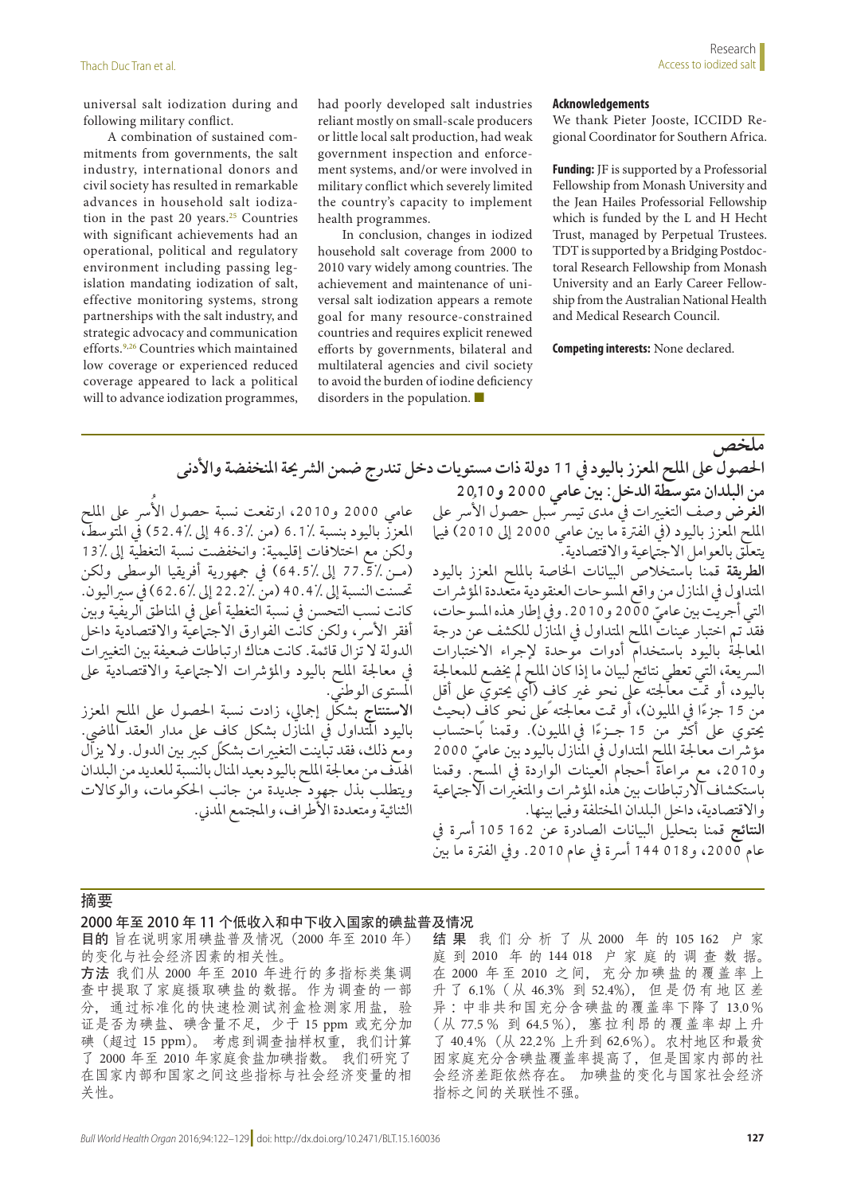universal salt iodization during and following military conflict.

A combination of sustained commitments from governments, the salt industry, international donors and civil society has resulted in remarkable advances in household salt iodization in the past 20 years. $25$  Countries with significant achievements had an operational, political and regulatory environment including passing legislation mandating iodization of salt, effective monitoring systems, strong partnerships with the salt industry, and strategic advocacy and communication efforts.<sup>[9](#page-7-8),[26](#page-7-25)</sup> Countries which maintained low coverage or experienced reduced coverage appeared to lack a political will to advance iodization programmes,

had poorly developed salt industries reliant mostly on small-scale producers or little local salt production, had weak government inspection and enforcement systems, and/or were involved in military conflict which severely limited the country's capacity to implement health programmes.

In conclusion, changes in iodized household salt coverage from 2000 to 2010 vary widely among countries. The achievement and maintenance of universal salt iodization appears a remote goal for many resource-constrained countries and requires explicit renewed efforts by governments, bilateral and multilateral agencies and civil society to avoid the burden of iodine deficiency disorders in the population. ■

#### **Acknowledgements**

We thank Pieter Jooste, ICCIDD Regional Coordinator for Southern Africa.

**Funding:** JF is supported by a Professorial Fellowship from Monash University and the Jean Hailes Professorial Fellowship which is funded by the L and H Hecht Trust, managed by Perpetual Trustees. TDT is supported by a Bridging Postdoctoral Research Fellowship from Monash University and an Early Career Fellowship from the Australian National Health and Medical Research Council.

**Competing interests:** None declared.

عامي 2000 و2010، ارتفعت نسبة حصول الأسر على الملح المعزز باليود بنسبة 6.1٪ (من 36.3٪ إلى 46.2٪) في المتوسط، ولكن مع اختالفات إقليمية: وانخفضت نسبة التغطية إىل 13% )م�ن 77.5% إىل 64.5%( يف مجهورية أفريقيا الوسطى ولكن حتسنت النسبة إىل 40.4% )من 22.2% إىل 62.6%( يف سرياليون. كانت نسب التحسن يف نسبة التغطية أعىل يف املناطق الريفية وبني أفقر الأسر ، ولكن كانت الفوارق الاجتباعيّة والاقتصادية داخل الدولة ال تزال قائمة. كانت هناك ارتباطات ضعيفة بني التغيريات في معالجة الملح باليود والمؤشرات الاجتهاعية والاقتصادية على ي<br>المستوى الوطني. ا**لاستنتاج** بشكل إجمالي، زادت نسبة الحصول على الملح المعزز باليود المتداول في المنازل بشكل كافٍ على مدار العقد الماضيّ. ومع ذلك، فقد تباينت التغييرات بشكلٍ كبير بين الدول. ولا يزأل اهلدف من معاجلة امللح باليود بعيد املنال بالنسبة للعديد من البلدان

ويتطلب بذل جهود جديدة من جانب احلكومات، والوكاالت الثنائية ومتعددة الأطراف، والمجتمع المدني.

**ملخص احلصول عىل امللح املعزز باليود يف 11 دولة ذات مستويات دخل تندرج ضمن الرشحية املنخفضة واألدنى من البلدان متوسطة الدخل: بني عامي 2000 و2010** ا**لغرض** وصف التغييرات في مدى تيسر سبل حصول الأسر على الملح المعزز باليود (في الفترة ما بين عامي 2000 إلى 2010) فيها يتعلق بالعوامل االجتامعية واالقتصادية.

**الطريقة** قمنا باستخالص البيانات اخلاصة بامللح املعزز باليود المتداول في المنازل من واقع المسوحات العنقو دية متعددة المؤشر ات ُجريت بني ّ عامي2000 و.2010 ويف إطار هذه املسوحات، التي أ فقد تم اختبار عينات امللح املتداول يف املنازل للكشف عن درجة املعاجلة باليود باستخدام أدوات موحدة إلجراء االختبارات الرسيعة، التي تعطي نتائج لبيان ما إذا كان امللح مل خيضع للمعاجلة باليود، أو متت معاجلته عىل نحو غري ٍ كاف )أي حيتوي عىل أقل من 15 جزءًا في المليون)، أو تمت معالجته ًعلى نحو كاف (بحيث بحتوي على أكثر من 15 جــزءًا في المليون). وقمنا بًاحتساب مؤشرات معالجة الملح المتداول في المنازل باليود بين عاميّ 2000 و،2010 مع مراعاة أحجام العينات الواردة يف املسح. وقمنا باستكشاف االرتباطات بني هذه املؤرشات واملتغريات االجتامعية والاقتصادية، داخل البلدان المختلفة وفيها بينها. ا**لنتائج** قمنا بتحليل البيانات الصادرة عن 162 105 أسرة في عام 2000، و018 144 أسرة في عام 2010. وفي الفترة ما بين

### 摘要

关性。

#### 2000 年至 2010 年 11 个低收入和中下收入国家的碘盐普及情况

目的 旨在说明家用碘盐普及情况(2000 年至 2010 年) 的变化与社会经济因素的相关性。 方法 我们从 2000 年至 2010 年进行的多指标类集调 查中提取了家庭摄取碘盐的数据。作为调查的一部 分,通过标准化的快速检测试剂盒检测家用盐,验 证是否为碘盐、碘含量不足,少于 15 ppm 或充分加 碘(超过 15 ppm)。 考虑到调查抽样权重,我们计算 了 2000 年至 2010 年家庭食盐加碘指数。 我们研究了 在国家内部和国家之间这些指标与社会经济变量的相

结 果 我们分析了从 2000 年 的 105 162 户 家

庭 到 2010 年 的 144 018 户 家 庭 的 调 查 数 据。 在 2000 年 至 2010 之 间, 充 分 加 碘 盐 的 覆 盖 率 上 升 了 6.1%( 从 46.3% 到 52.4%), 但 是 仍 有 地 区 差 异 :中非共和国充分含碘盐的覆盖率下降了 13.0% ( 从 77.5% 到 64.5%), 塞 拉 利 昂 的 覆 盖 率 却 上 升 了 40.4%(从 22.2% 上升到 62.6%)。农村地区和最贫 困家庭充分含碘盐覆盖率提高了,但是国家内部的社 会经济差距依然存在。 加碘盐的变化与国家社会经济 指标之间的关联性不强。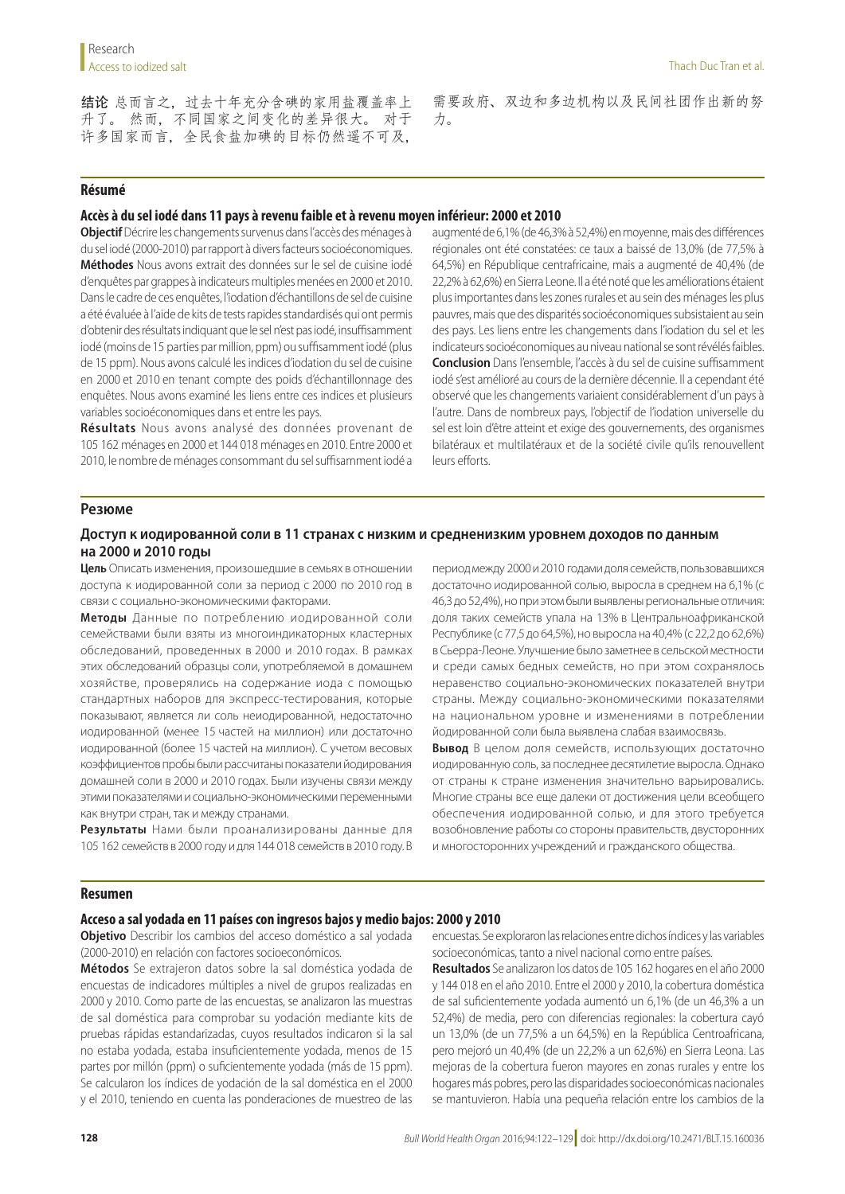结论 总而言之,过去十年充分含碘的家用盐覆盖率上 升了。 然而,不同国家之间变化的差异很大。 对于 许多国家而言,全民食盐加碘的目标仍然遥不可及,

需要政府、双边和多边机构以及民间社团作出新的努 力。

## **Résumé**

## **Accès à du sel iodé dans 11 pays à revenu faible et à revenu moyen inférieur: 2000 et 2010**

**Objectif** Décrire les changements survenus dans l'accès des ménages à du sel iodé (2000-2010) par rapport à divers facteurs socioéconomiques. **Méthodes** Nous avons extrait des données sur le sel de cuisine iodé d'enquêtes par grappes à indicateurs multiples menées en 2000 et 2010. Dans le cadre de ces enquêtes, l'iodation d'échantillons de sel de cuisine a été évaluée à l'aide de kits de tests rapides standardisés qui ont permis d'obtenir des résultats indiquant que le sel n'est pas iodé, insuffisamment iodé (moins de 15 parties par million, ppm) ou suffisamment iodé (plus de 15 ppm). Nous avons calculé les indices d'iodation du sel de cuisine en 2000 et 2010 en tenant compte des poids d'échantillonnage des enquêtes. Nous avons examiné les liens entre ces indices et plusieurs variables socioéconomiques dans et entre les pays.

**Résultats** Nous avons analysé des données provenant de 105 162 ménages en 2000 et 144 018 ménages en 2010. Entre 2000 et 2010, le nombre de ménages consommant du sel suffisamment iodé a augmenté de 6,1% (de 46,3% à 52,4%) en moyenne, mais des différences régionales ont été constatées: ce taux a baissé de 13,0% (de 77,5% à 64,5%) en République centrafricaine, mais a augmenté de 40,4% (de 22,2% à 62,6%) en Sierra Leone. Il a été noté que les améliorations étaient plus importantes dans les zones rurales et au sein des ménages les plus pauvres, mais que des disparités socioéconomiques subsistaient au sein des pays. Les liens entre les changements dans l'iodation du sel et les indicateurs socioéconomiques au niveau national se sont révélés faibles. **Conclusion** Dans l'ensemble, l'accès à du sel de cuisine suffisamment iodé s'est amélioré au cours de la dernière décennie. Il a cependant été observé que les changements variaient considérablement d'un pays à l'autre. Dans de nombreux pays, l'objectif de l'iodation universelle du sel est loin d'être atteint et exige des gouvernements, des organismes bilatéraux et multilatéraux et de la société civile qu'ils renouvellent leurs efforts.

## **Резюме**

## **Доступ к иодированной соли в 11 странах с низким и средненизким уровнем доходов по данным на 2000 и 2010 годы**

**Цель** Описать изменения, произошедшие в семьях в отношении доступа к иодированной соли за период с 2000 по 2010 год в связи с социально-экономическими факторами.

**Методы** Данные по потреблению иодированной соли семействами были взяты из многоиндикаторных кластерных обследований, проведенных в 2000 и 2010 годах. В рамках этих обследований образцы соли, употребляемой в домашнем хозяйстве, проверялись на содержание иода с помощью стандартных наборов для экспресс-тестирования, которые показывают, является ли соль неиодированной, недостаточно иодированной (менее 15 частей на миллион) или достаточно иодированной (более 15 частей на миллион). С учетом весовых коэффициентов пробы были рассчитаны показатели йодирования домашней соли в 2000 и 2010 годах. Были изучены связи между этими показателями и социально-экономическими переменными как внутри стран, так и между странами.

**Результаты** Нами были проанализированы данные для 105 162 семейств в 2000 году и для 144 018 семейств в 2010 году. В

период между 2000 и 2010 годами доля семейств, пользовавшихся достаточно иодированной солью, выросла в среднем на 6,1% (с 46,3 до 52,4%), но при этом были выявлены региональные отличия: доля таких семейств упала на 13% в Центральноафриканской Республике (с 77,5 до 64,5%), но выросла на 40,4% (с 22,2 до 62,6%) в Сьерра-Леоне. Улучшение было заметнее в сельской местности и среди самых бедных семейств, но при этом сохранялось неравенство социально-экономических показателей внутри страны. Между социально-экономическими показателями на национальном уровне и изменениями в потреблении йодированной соли была выявлена слабая взаимосвязь.

**Вывод** В целом доля семейств, использующих достаточно иодированную соль, за последнее десятилетие выросла. Однако от страны к стране изменения значительно варьировались. Многие страны все еще далеки от достижения цели всеобщего обеспечения иодированной солью, и для этого требуется возобновление работы со стороны правительств, двусторонних и многосторонних учреждений и гражданского общества.

### **Resumen**

#### **Acceso a sal yodada en 11 países con ingresos bajos y medio bajos: 2000 y 2010**

**Objetivo** Describir los cambios del acceso doméstico a sal yodada (2000-2010) en relación con factores socioeconómicos.

**Métodos** Se extrajeron datos sobre la sal doméstica yodada de encuestas de indicadores múltiples a nivel de grupos realizadas en 2000 y 2010. Como parte de las encuestas, se analizaron las muestras de sal doméstica para comprobar su yodación mediante kits de pruebas rápidas estandarizadas, cuyos resultados indicaron si la sal no estaba yodada, estaba insuficientemente yodada, menos de 15 partes por millón (ppm) o suficientemente yodada (más de 15 ppm). Se calcularon los índices de yodación de la sal doméstica en el 2000 y el 2010, teniendo en cuenta las ponderaciones de muestreo de las encuestas. Se exploraron las relaciones entre dichos índices y las variables socioeconómicas, tanto a nivel nacional como entre países.

**Resultados** Se analizaron los datos de 105 162 hogares en el año 2000 y 144 018 en el año 2010. Entre el 2000 y 2010, la cobertura doméstica de sal suficientemente yodada aumentó un 6,1% (de un 46,3% a un 52,4%) de media, pero con diferencias regionales: la cobertura cayó un 13,0% (de un 77,5% a un 64,5%) en la República Centroafricana, pero mejoró un 40,4% (de un 22,2% a un 62,6%) en Sierra Leona. Las mejoras de la cobertura fueron mayores en zonas rurales y entre los hogares más pobres, pero las disparidades socioeconómicas nacionales se mantuvieron. Había una pequeña relación entre los cambios de la